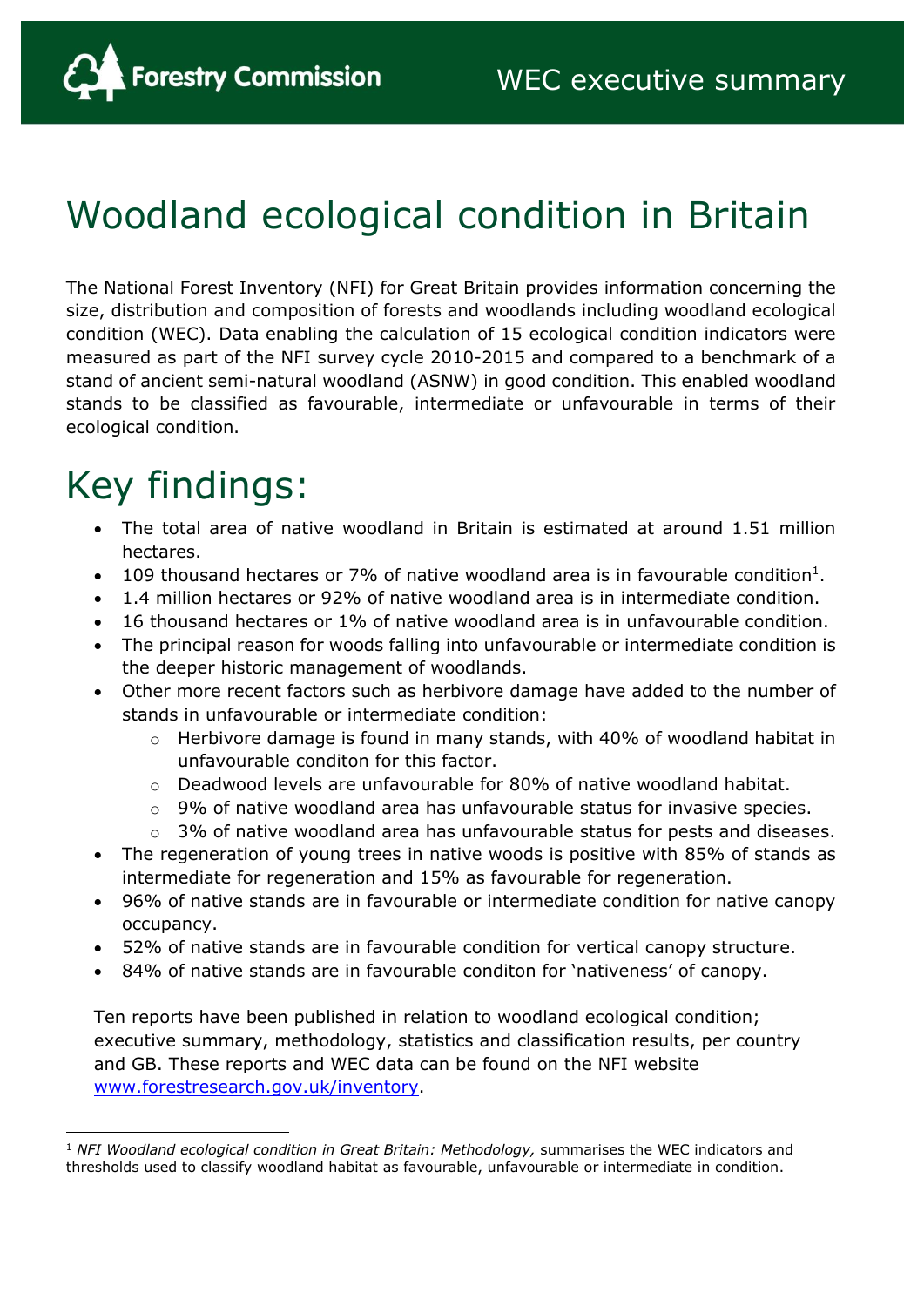

# Woodland ecological condition in Britain

The National Forest Inventory (NFI) for Great Britain provides information concerning the size, distribution and composition of forests and woodlands including woodland ecological condition (WEC). Data enabling the calculation of 15 ecological condition indicators were measured as part of the NFI survey cycle 2010-2015 and compared to a benchmark of a stand of ancient semi-natural woodland (ASNW) in good condition. This enabled woodland stands to be classified as favourable, intermediate or unfavourable in terms of their ecological condition.

# Key findings:

- The total area of native woodland in Britain is estimated at around 1.51 million hectares.
- 109 thousand hectares or 7% of native woodland area is in favourable condition<sup>1</sup>.
- 1.4 million hectares or 92% of native woodland area is in intermediate condition.
- 16 thousand hectares or 1% of native woodland area is in unfavourable condition.
- The principal reason for woods falling into unfavourable or intermediate condition is the deeper historic management of woodlands.
- Other more recent factors such as herbivore damage have added to the number of stands in unfavourable or intermediate condition:
	- o Herbivore damage is found in many stands, with 40% of woodland habitat in unfavourable conditon for this factor.
	- $\circ$  Deadwood levels are unfavourable for 80% of native woodland habitat.
	- o 9% of native woodland area has unfavourable status for invasive species.
	- $\circ$  3% of native woodland area has unfavourable status for pests and diseases.
- The regeneration of young trees in native woods is positive with 85% of stands as intermediate for regeneration and 15% as favourable for regeneration.
- 96% of native stands are in favourable or intermediate condition for native canopy occupancy.
- 52% of native stands are in favourable condition for vertical canopy structure.
- 84% of native stands are in favourable conditon for 'nativeness' of canopy.

Ten reports have been published in relation to woodland ecological condition; executive summary, methodology, statistics and classification results, per country and GB. These reports and WEC data can be found on the NFI website [www.forestresearch.gov.uk/inventory.](https://www.forestresearch.gov.uk/tools-and-resources/national-forest-inventory/)

<sup>1</sup> *NFI Woodland ecological condition in Great Britain: Methodology,* summarises the WEC indicators and thresholds used to classify woodland habitat as favourable, unfavourable or intermediate in condition.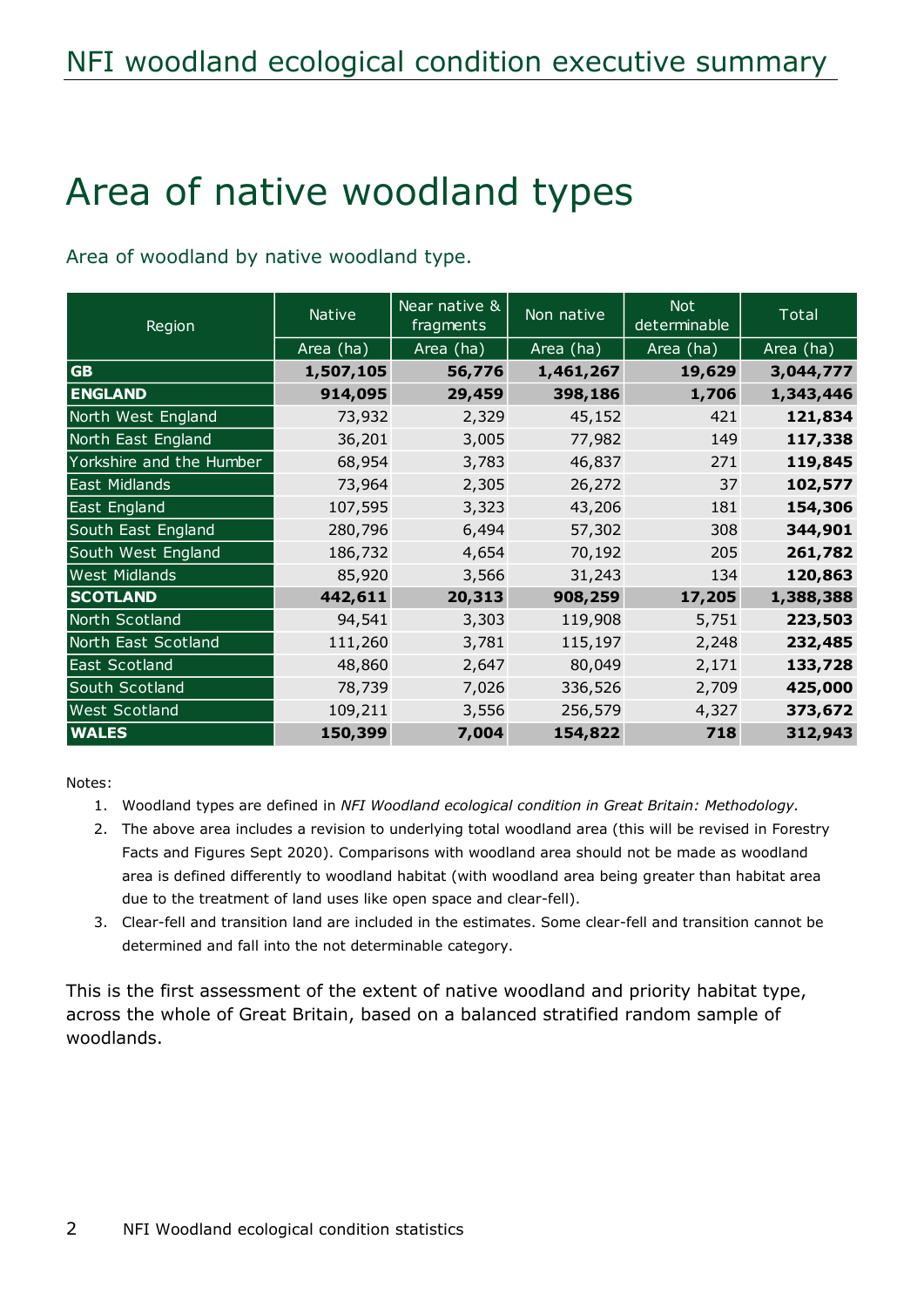# Area of native woodland types

Area of woodland by native woodland type.

| Region                   | <b>Native</b> | Near native &<br>fragments | Non native | <b>Not</b><br>determinable | Total     |
|--------------------------|---------------|----------------------------|------------|----------------------------|-----------|
|                          | Area (ha)     | Area (ha)                  | Area (ha)  | Area (ha)                  | Area (ha) |
| <b>GB</b>                | 1,507,105     | 56,776                     | 1,461,267  | 19,629                     | 3,044,777 |
| <b>ENGLAND</b>           | 914,095       | 29,459                     | 398,186    | 1,706                      | 1,343,446 |
| North West England       | 73,932        | 2,329                      | 45,152     | 421                        | 121,834   |
| North East England       | 36,201        | 3,005                      | 77,982     | 149                        | 117,338   |
| Yorkshire and the Humber | 68,954        | 3,783                      | 46,837     | 271                        | 119,845   |
| East Midlands            | 73,964        | 2,305                      | 26,272     | 37                         | 102,577   |
| East England             | 107,595       | 3,323                      | 43,206     | 181                        | 154,306   |
| South East England       | 280,796       | 6,494                      | 57,302     | 308                        | 344,901   |
| South West England       | 186,732       | 4,654                      | 70,192     | 205                        | 261,782   |
| <b>West Midlands</b>     | 85,920        | 3,566                      | 31,243     | 134                        | 120,863   |
| <b>SCOTLAND</b>          | 442,611       | 20,313                     | 908,259    | 17,205                     | 1,388,388 |
| North Scotland           | 94,541        | 3,303                      | 119,908    | 5,751                      | 223,503   |
| North East Scotland      | 111,260       | 3,781                      | 115,197    | 2,248                      | 232,485   |
| East Scotland            | 48,860        | 2,647                      | 80,049     | 2,171                      | 133,728   |
| South Scotland           | 78,739        | 7,026                      | 336,526    | 2,709                      | 425,000   |
| <b>West Scotland</b>     | 109,211       | 3,556                      | 256,579    | 4,327                      | 373,672   |
| <b>WALES</b>             | 150,399       | 7,004                      | 154,822    | 718                        | 312,943   |

Notes:

- 1. Woodland types are defined in *NFI Woodland ecological condition in Great Britain: Methodology.*
- 2. The above area includes a revision to underlying total woodland area (this will be revised in Forestry Facts and Figures Sept 2020). Comparisons with woodland area should not be made as woodland area is defined differently to woodland habitat (with woodland area being greater than habitat area due to the treatment of land uses like open space and clear-fell).
- 3. Clear-fell and transition land are included in the estimates. Some clear-fell and transition cannot be determined and fall into the not determinable category.

This is the first assessment of the extent of native woodland and priority habitat type, across the whole of Great Britain, based on a balanced stratified random sample of woodlands.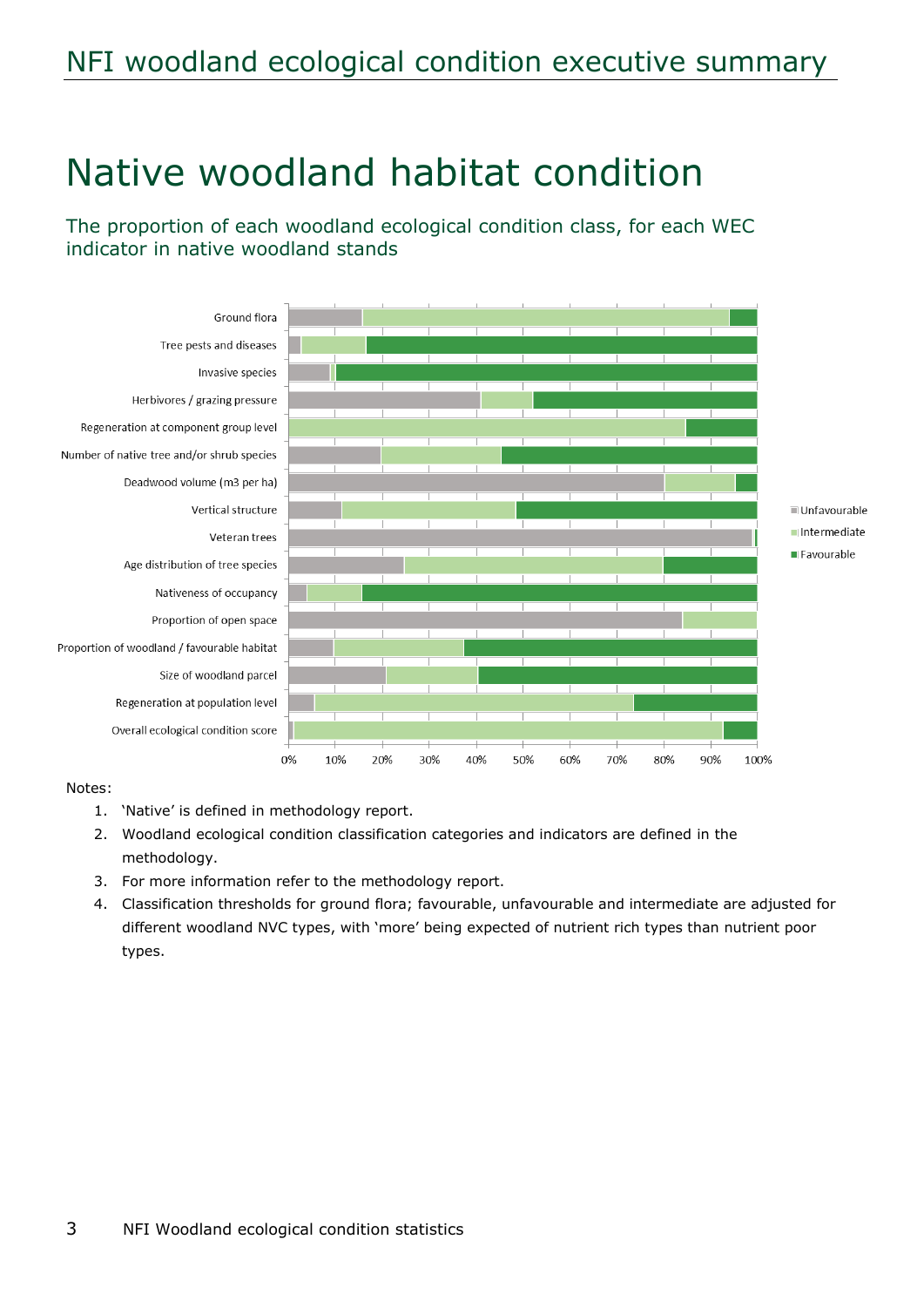## NFI woodland ecological condition executive summary

## Native woodland habitat condition

The proportion of each woodland ecological condition class, for each WEC indicator in native woodland stands



#### Notes:

- 1. 'Native' is defined in methodology report.
- 2. Woodland ecological condition classification categories and indicators are defined in the methodology.
- 3. For more information refer to the methodology report.
- 4. Classification thresholds for ground flora; favourable, unfavourable and intermediate are adjusted for different woodland NVC types, with 'more' being expected of nutrient rich types than nutrient poor types.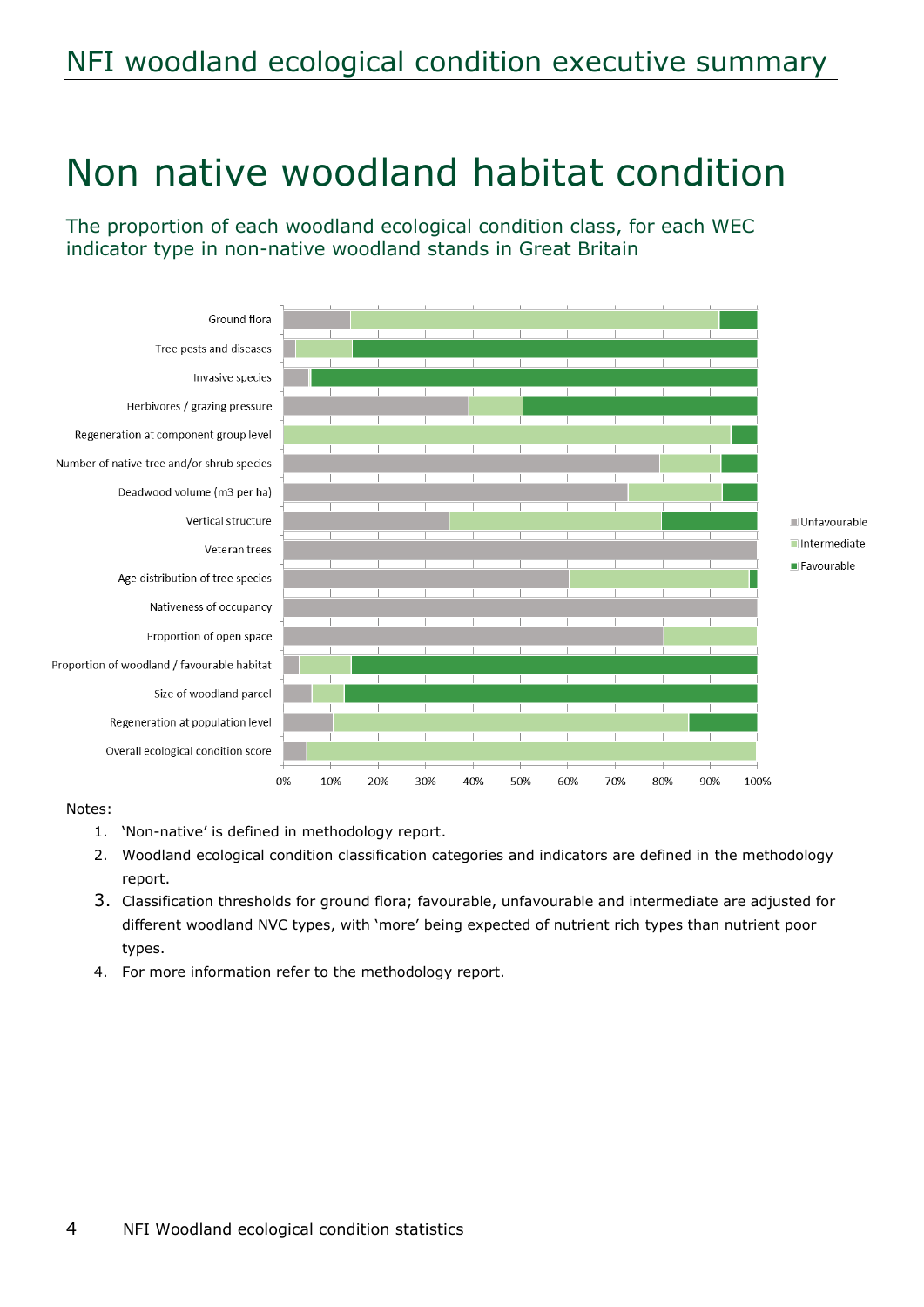## NFI woodland ecological condition executive summary

## Non native woodland habitat condition

The proportion of each woodland ecological condition class, for each WEC indicator type in non-native woodland stands in Great Britain



#### Notes:

- 1. 'Non-native' is defined in methodology report.
- 2. Woodland ecological condition classification categories and indicators are defined in the methodology report.
- 3. Classification thresholds for ground flora; favourable, unfavourable and intermediate are adjusted for different woodland NVC types, with 'more' being expected of nutrient rich types than nutrient poor types.
- 4. For more information refer to the methodology report.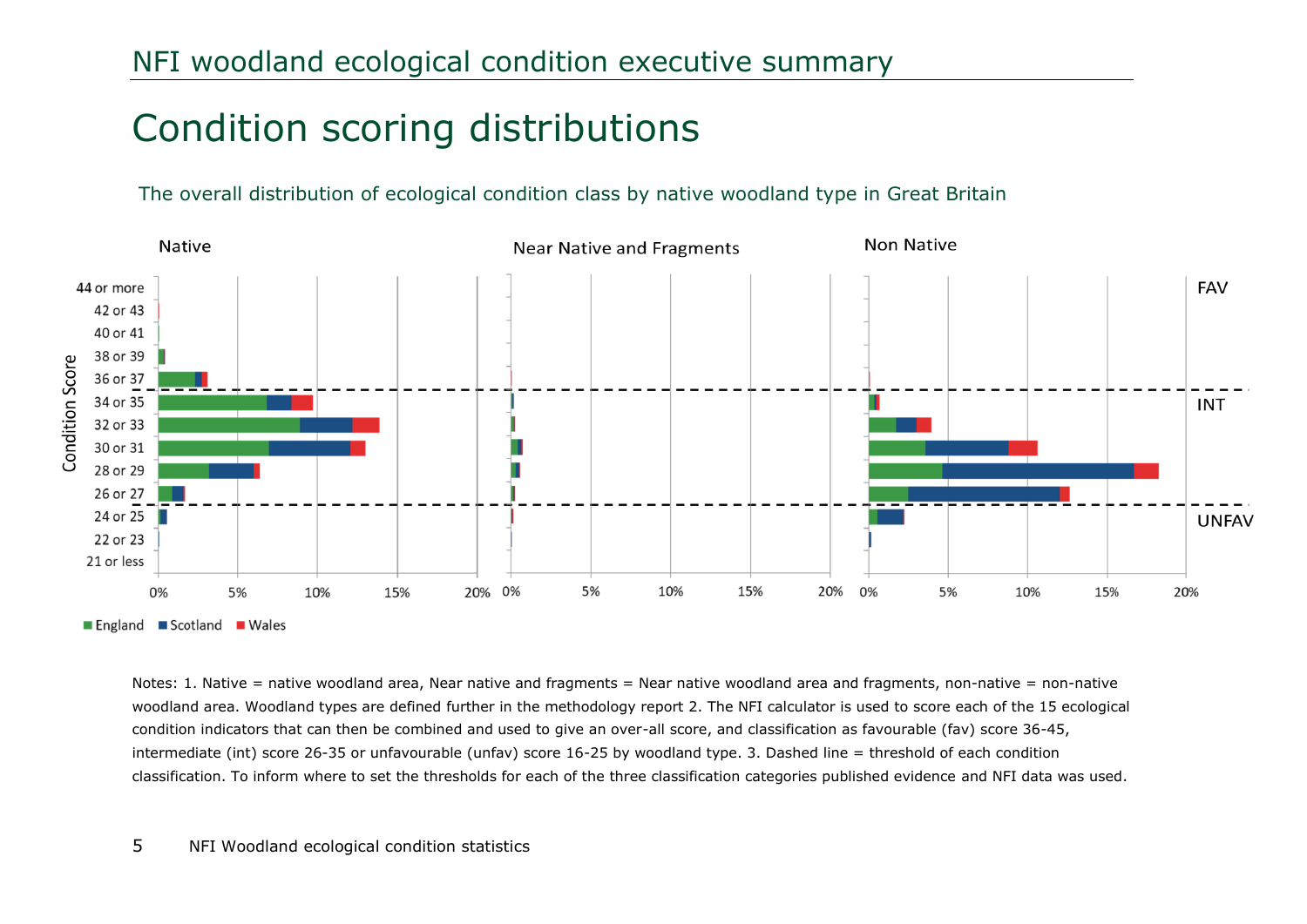## Condition scoring distributions

The overall distribution of ecological condition class by native woodland type in Great Britain



Notes: 1. Native = native woodland area, Near native and fragments = Near native woodland area and fragments, non-native = non-native woodland area. Woodland types are defined further in the methodology report 2. The NFI calculator is used to score each of the 15 ecological condition indicators that can then be combined and used to give an over-all score, and classification as favourable (fav) score 36-45, intermediate (int) score 26-35 or unfavourable (unfav) score 16-25 by woodland type. 3. Dashed line = threshold of each condition classification. To inform where to set the thresholds for each of the three classification categories published evidence and NFI data was used.